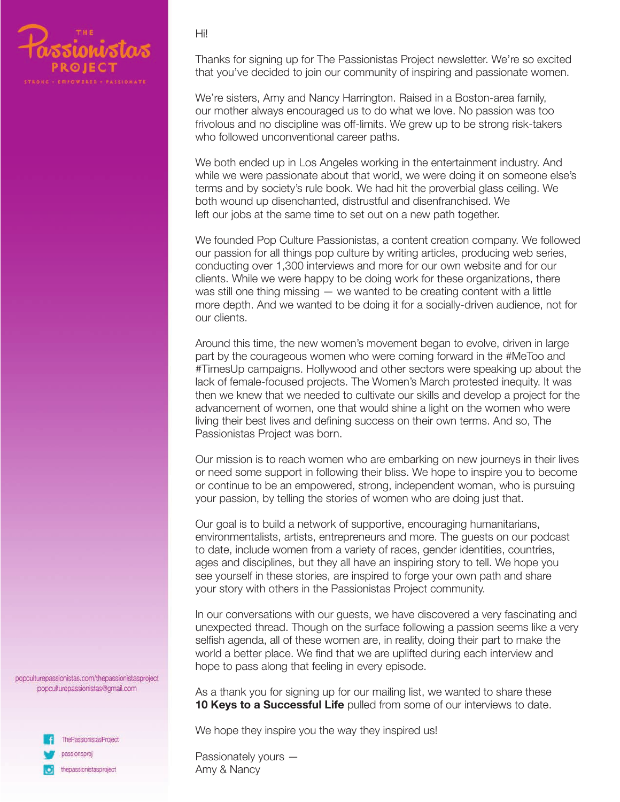

Hi!

Thanks for signing up for The Passionistas Project newsletter. We're so excited that you've decided to join our community of inspiring and passionate women.

We're sisters, Amy and Nancy Harrington. Raised in a Boston-area family, our mother always encouraged us to do what we love. No passion was too frivolous and no discipline was off-limits. We grew up to be strong risk-takers who followed unconventional career paths.

We both ended up in Los Angeles working in the entertainment industry. And while we were passionate about that world, we were doing it on someone else's terms and by society's rule book. We had hit the proverbial glass ceiling. We both wound up disenchanted, distrustful and disenfranchised. We left our jobs at the same time to set out on a new path together.

We founded Pop Culture Passionistas, a content creation company. We followed our passion for all things pop culture by writing articles, producing web series, conducting over 1,300 interviews and more for our own website and for our clients. While we were happy to be doing work for these organizations, there was still one thing missing  $-$  we wanted to be creating content with a little more depth. And we wanted to be doing it for a socially-driven audience, not for our clients.

Around this time, the new women's movement began to evolve, driven in large part by the courageous women who were coming forward in the #MeToo and #TimesUp campaigns. Hollywood and other sectors were speaking up about the lack of female-focused projects. The Women's March protested inequity. It was then we knew that we needed to cultivate our skills and develop a project for the advancement of women, one that would shine a light on the women who were living their best lives and defining success on their own terms. And so, The Passionistas Project was born.

Our mission is to reach women who are embarking on new journeys in their lives or need some support in following their bliss. We hope to inspire you to become or continue to be an empowered, strong, independent woman, who is pursuing your passion, by telling the stories of women who are doing just that.

Our goal is to build a network of supportive, encouraging humanitarians, environmentalists, artists, entrepreneurs and more. The guests on our podcast to date, include women from a variety of races, gender identities, countries, ages and disciplines, but they all have an inspiring story to tell. We hope you see yourself in these stories, are inspired to forge your own path and share your story with others in the Passionistas Project community.

In our conversations with our guests, we have discovered a very fascinating and unexpected thread. Though on the surface following a passion seems like a very selfish agenda, all of these women are, in reality, doing their part to make the world a better place. We find that we are uplifted during each interview and hope to pass along that feeling in every episode.

As a thank you for signing up for our mailing list, we wanted to share these **10 Keys to a Successful Life** pulled from some of our interviews to date.

We hope they inspire you the way they inspired us!

Passionately yours — Amy & Nancy

popculturepassionistas.com/thepassionistasproject popculturepassionistas@gmail.com

> ThePassionistasProject passionsproj thepassionistasproject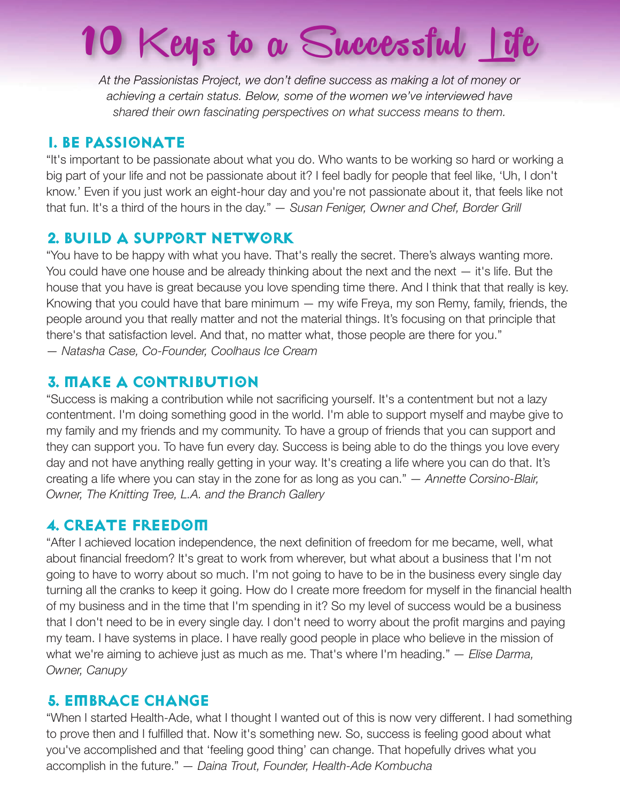# 10 Keys to a Successful Life

*At the Passionistas Project, we don't define success as making a lot of money or achieving a certain status. Below, some of the women we've interviewed have shared their own fascinating perspectives on what success means to them.*

## **1. Be Passionate**

"It's important to be passionate about what you do. Who wants to be working so hard or working a big part of your life and not be passionate about it? I feel badly for people that feel like, 'Uh, I don't know.' Even if you just work an eight-hour day and you're not passionate about it, that feels like not that fun. It's a third of the hours in the day." *— Susan Feniger, Owner and Chef, Border Grill*

# **2. BUILD A SUPPORT NETWORK**

"You have to be happy with what you have. That's really the secret. There's always wanting more. You could have one house and be already thinking about the next and the next — it's life. But the house that you have is great because you love spending time there. And I think that that really is key. Knowing that you could have that bare minimum — my wife Freya, my son Remy, family, friends, the people around you that really matter and not the material things. It's focusing on that principle that there's that satisfaction level. And that, no matter what, those people are there for you." *— Natasha Case, Co-Founder, Coolhaus Ice Cream*

# **3. Make a Contribution**

"Success is making a contribution while not sacrificing yourself. It's a contentment but not a lazy contentment. I'm doing something good in the world. I'm able to support myself and maybe give to my family and my friends and my community. To have a group of friends that you can support and they can support you. To have fun every day. Success is being able to do the things you love every day and not have anything really getting in your way. It's creating a life where you can do that. It's creating a life where you can stay in the zone for as long as you can." *— Annette Corsino-Blair, Owner, The Knitting Tree, L.A. and the Branch Gallery*

#### **4. Create Freedom**

"After I achieved location independence, the next definition of freedom for me became, well, what about financial freedom? It's great to work from wherever, but what about a business that I'm not going to have to worry about so much. I'm not going to have to be in the business every single day turning all the cranks to keep it going. How do I create more freedom for myself in the financial health of my business and in the time that I'm spending in it? So my level of success would be a business that I don't need to be in every single day. I don't need to worry about the profit margins and paying my team. I have systems in place. I have really good people in place who believe in the mission of what we're aiming to achieve just as much as me. That's where I'm heading." *— Elise Darma, Owner, Canupy*

#### **5. Embrace Change**

"When I started Health-Ade, what I thought I wanted out of this is now very different. I had something to prove then and I fulfilled that. Now it's something new. So, success is feeling good about what you've accomplished and that 'feeling good thing' can change. That hopefully drives what you accomplish in the future." *— Daina Trout, Founder, Health-Ade Kombucha*